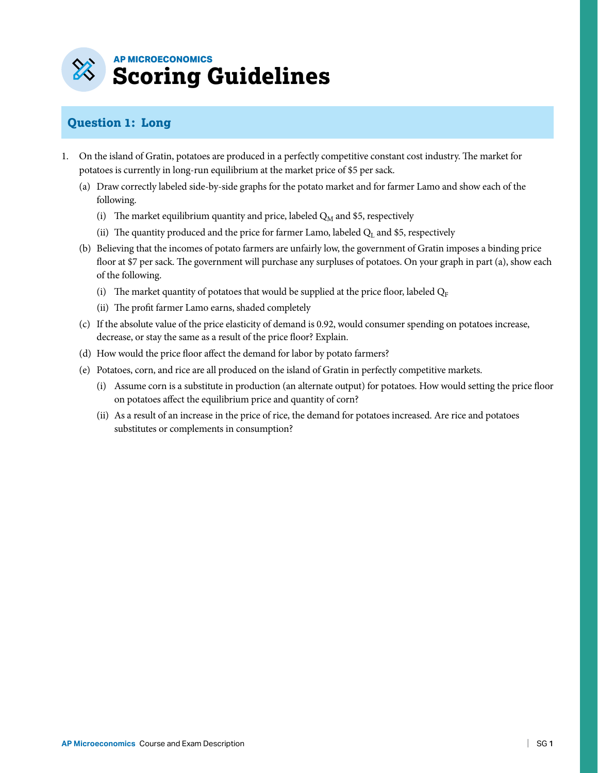

## **Question 1: Long**

- 1. On the island of Gratin, potatoes are produced in a perfectly competitive constant cost industry. The market for potatoes is currently in long-run equilibrium at the market price of \$5 per sack.
	- (a) Draw correctly labeled side-by-side graphs for the potato market and for farmer Lamo and show each of the following.
		- (i) The market equilibrium quantity and price, labeled  $Q_M$  and \$5, respectively
		- (ii) The quantity produced and the price for farmer Lamo, labeled  $Q_L$  and \$5, respectively
	- (b) Believing that the incomes of potato farmers are unfairly low, the government of Gratin imposes a binding price floor at \$7 per sack. The government will purchase any surpluses of potatoes. On your graph in part (a), show each of the following.
		- (i) The market quantity of potatoes that would be supplied at the price floor, labeled  $Q_F$
		- (ii) The profit farmer Lamo earns, shaded completely
	- (c) If the absolute value of the price elasticity of demand is 0.92, would consumer spending on potatoes increase, decrease, or stay the same as a result of the price floor? Explain.
	- (d) How would the price floor affect the demand for labor by potato farmers?
	- (e) Potatoes, corn, and rice are all produced on the island of Gratin in perfectly competitive markets.
		- (i) Assume corn is a substitute in production (an alternate output) for potatoes. How would setting the price floor on potatoes affect the equilibrium price and quantity of corn?
		- (ii) As a result of an increase in the price of rice, the demand for potatoes increased. Are rice and potatoes substitutes or complements in consumption?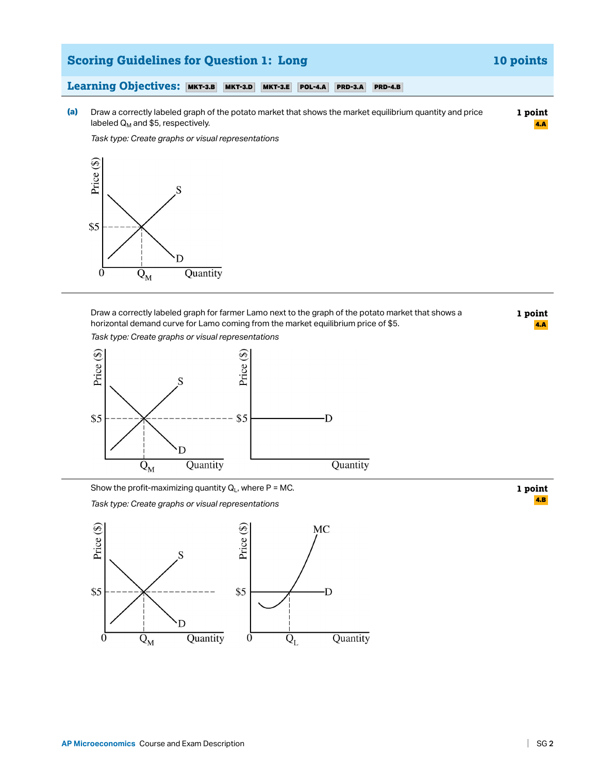

*Task type: Create graphs or visual representations* 



Draw a correctly labeled graph for farmer Lamo next to the graph of the potato market that shows a horizontal demand curve for Lamo coming from the market equilibrium price of \$5.

*Task type: Create graphs or visual representations* 



Show the profit-maximizing quantity  $Q_L$ , where P = MC.

*Task type: Create graphs or visual representations* 



**1 point**  4.A

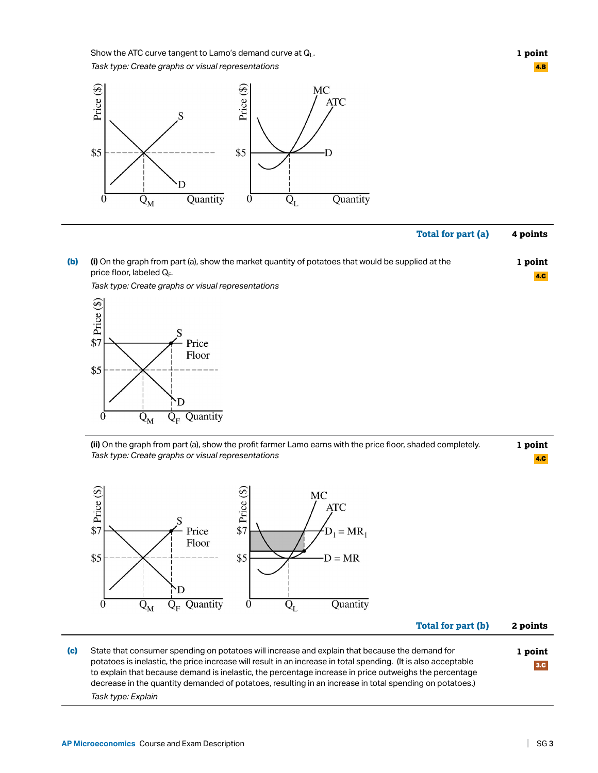Show the ATC curve tangent to Lamo's demand curve at  $Q_L$ .

*Task type: Create graphs or visual representations* 



**1 point**  4.B

4.C

# **Total for part (a) 4 points**

**(b) (i)** On the graph from part (a), show the market quantity of potatoes that would be supplied at the price floor, labeled  $Q_F$ . **1 point** 



*Task type: Create graphs or visual representations* 

**(ii)** On the graph from part (a), show the profit farmer Lamo earns with the price floor, shaded completely. *Task type: Create graphs or visual representations*  **1 point**  4.C



**Total for part (b) 2 points** 

**(c)** State that consumer spending on potatoes will increase and explain that because the demand for potatoes is inelastic, the price increase will result in an increase in total spending. (It is also acceptable to explain that because demand is inelastic, the percentage increase in price outweighs the percentage decrease in the quantity demanded of potatoes, resulting in an increase in total spending on potatoes.) *Task type: Explain*  **1 point**  3.C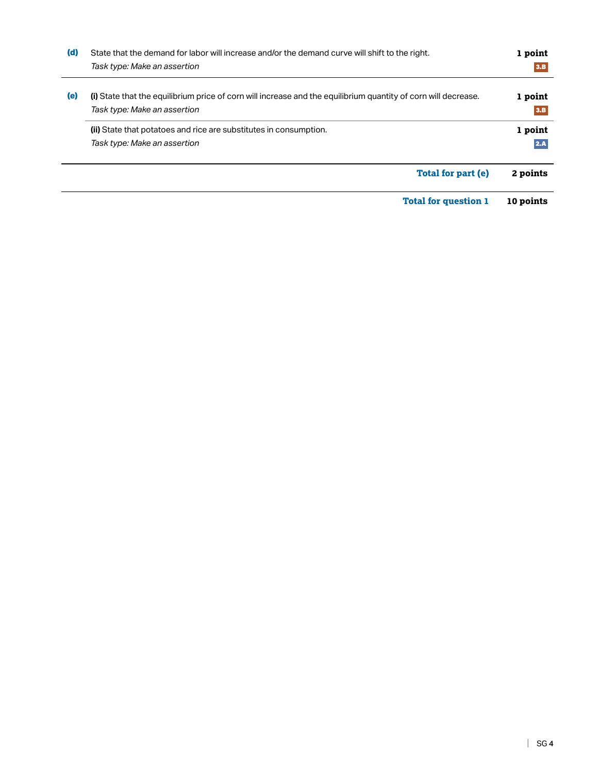| (d) | State that the demand for labor will increase and/or the demand curve will shift to the right.<br>Task type: Make an assertion                 | 1 point<br>3.B |
|-----|------------------------------------------------------------------------------------------------------------------------------------------------|----------------|
| (e) | (i) State that the equilibrium price of corn will increase and the equilibrium quantity of corn will decrease.<br>Task type: Make an assertion | 1 point<br>3.B |
|     | (ii) State that potatoes and rice are substitutes in consumption.<br>Task type: Make an assertion                                              | 1 point<br>2.A |
|     | <b>Total for part (e)</b>                                                                                                                      | 2 points       |
|     | <b>Total for question 1</b>                                                                                                                    | 10 points      |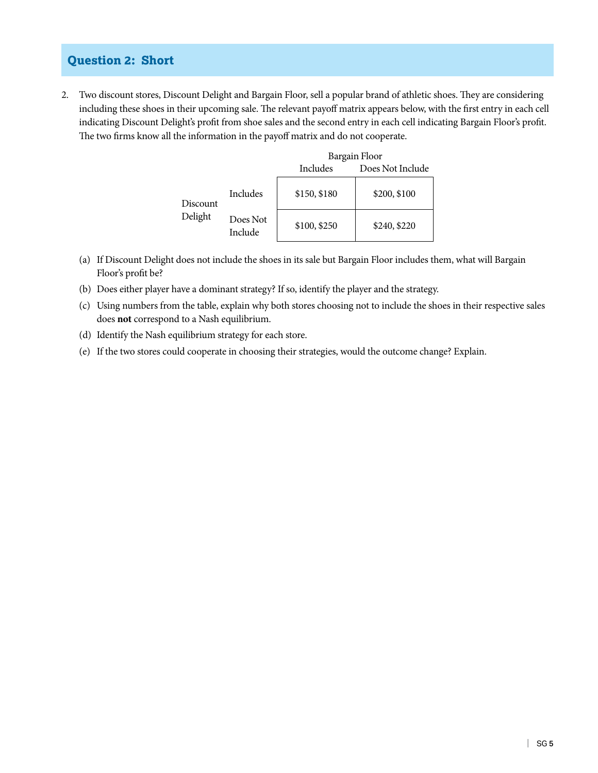### **Question 2: Short**

2. Two discount stores, Discount Delight and Bargain Floor, sell a popular brand of athletic shoes. They are considering including these shoes in their upcoming sale. The relevant payoff matrix appears below, with the first entry in each cell indicating Discount Delight's profit from shoe sales and the second entry in each cell indicating Bargain Floor's profit. The two firms know all the information in the payoff matrix and do not cooperate.

|          |                     | Bargain Floor |                  |  |
|----------|---------------------|---------------|------------------|--|
|          |                     | Includes      | Does Not Include |  |
| Discount | Includes            | \$150, \$180  | \$200, \$100     |  |
| Delight  | Does Not<br>Include | \$100, \$250  | \$240, \$220     |  |

- (a) If Discount Delight does not include the shoes in its sale but Bargain Floor includes them, what will Bargain Floor's profit be?
- (b) Does either player have a dominant strategy? If so, identify the player and the strategy.
- (c) Using numbers from the table, explain why both stores choosing not to include the shoes in their respective sales does **not** correspond to a Nash equilibrium.
- (d) Identify the Nash equilibrium strategy for each store.
- (e) If the two stores could cooperate in choosing their strategies, would the outcome change? Explain.